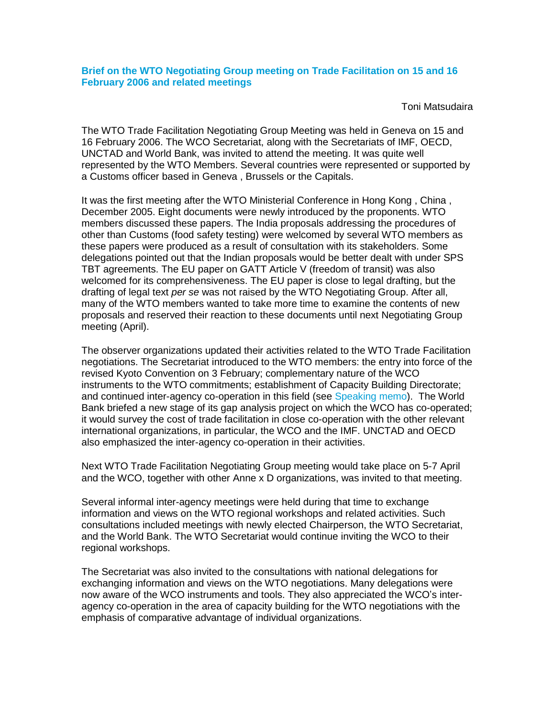Toni Matsudaira

The WTO Trade Facilitation Negotiating Group Meeting was held in Geneva on 15 and 16 February 2006. The WCO Secretariat, along with the Secretariats of IMF, OECD, UNCTAD and World Bank, was invited to attend the meeting. It was quite well represented by the WTO Members. Several countries were represented or supported by a Customs officer based in Geneva , Brussels or the Capitals.

It was the first meeting after the WTO Ministerial Conference in Hong Kong , China , December 2005. Eight documents were newly introduced by the proponents. WTO members discussed these papers. The India proposals addressing the procedures of other than Customs (food safety testing) were welcomed by several WTO members as these papers were produced as a result of consultation with its stakeholders. Some delegations pointed out that the Indian proposals would be better dealt with under SPS TBT agreements. The EU paper on GATT Article V (freedom of transit) was also welcomed for its comprehensiveness. The EU paper is close to legal drafting, but the drafting of legal text per se was not raised by the WTO Negotiating Group. After all, many of the WTO members wanted to take more time to examine the contents of new proposals and reserved their reaction to these documents until next Negotiating Group meeting (April).

The observer organizations updated their activities related to the WTO Trade Facilitation negotiations. The Secretariat introduced to the WTO members: the entry into force of the revised Kyoto Convention on 3 February; complementary nature of the WCO instruments to the WTO commitments; establishment of Capacity Building Directorate; and continued inter-agency co-operation in this field (see Speaking memo). The World Bank briefed a new stage of its gap analysis project on which the WCO has co-operated; it would survey the cost of trade facilitation in close co-operation with the other relevant international organizations, in particular, the WCO and the IMF. UNCTAD and OECD also emphasized the inter-agency co-operation in their activities.

Next WTO Trade Facilitation Negotiating Group meeting would take place on 5-7 April and the WCO, together with other Anne x D organizations, was invited to that meeting.

Several informal inter-agency meetings were held during that time to exchange information and views on the WTO regional workshops and related activities. Such consultations included meetings with newly elected Chairperson, the WTO Secretariat, and the World Bank. The WTO Secretariat would continue inviting the WCO to their regional workshops.

The Secretariat was also invited to the consultations with national delegations for exchanging information and views on the WTO negotiations. Many delegations were now aware of the WCO instruments and tools. They also appreciated the WCO's interagency co-operation in the area of capacity building for the WTO negotiations with the emphasis of comparative advantage of individual organizations.